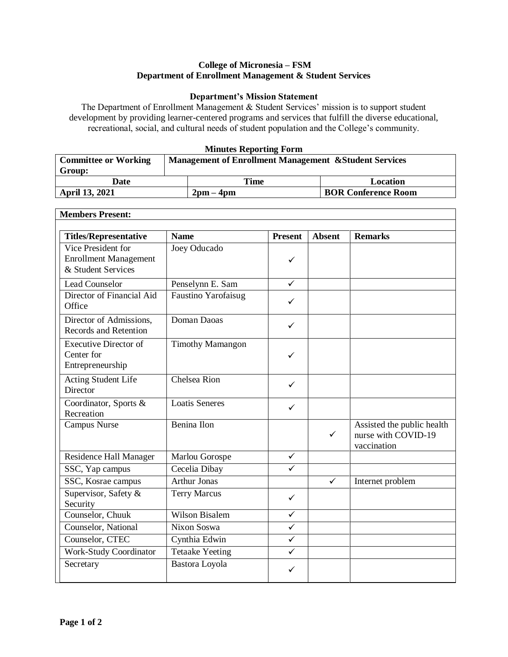## **College of Micronesia – FSM Department of Enrollment Management & Student Services**

## **Department's Mission Statement**

The Department of Enrollment Management & Student Services' mission is to support student development by providing learner-centered programs and services that fulfill the diverse educational, recreational, social, and cultural needs of student population and the College's community.

## **Minutes Reporting Form**

| <b>Committee or Working</b> | <b>Management of Enrollment Management &amp; Student Services</b> |                             |                            |  |
|-----------------------------|-------------------------------------------------------------------|-----------------------------|----------------------------|--|
| Group:                      |                                                                   |                             |                            |  |
| Date                        |                                                                   | Time                        | Location                   |  |
| <b>April 13, 2021</b>       |                                                                   | $2 \text{pm} - 4 \text{pm}$ | <b>BOR Conference Room</b> |  |

٦

| <b>Members Present:</b>                                                  |                            |                |               |                                                                  |
|--------------------------------------------------------------------------|----------------------------|----------------|---------------|------------------------------------------------------------------|
|                                                                          |                            |                |               |                                                                  |
| <b>Titles/Representative</b>                                             | <b>Name</b>                | <b>Present</b> | <b>Absent</b> | <b>Remarks</b>                                                   |
| Vice President for<br><b>Enrollment Management</b><br>& Student Services | Joey Oducado               | ✓              |               |                                                                  |
| <b>Lead Counselor</b>                                                    | Penselynn E. Sam           | $\checkmark$   |               |                                                                  |
| Director of Financial Aid<br>Office                                      | <b>Faustino Yarofaisug</b> | ✓              |               |                                                                  |
| Director of Admissions,<br><b>Records and Retention</b>                  | Doman Daoas                | ✓              |               |                                                                  |
| <b>Executive Director of</b><br>Center for<br>Entrepreneurship           | <b>Timothy Mamangon</b>    | $\checkmark$   |               |                                                                  |
| Acting Student Life<br>Director                                          | Chelsea Rion               | ✓              |               |                                                                  |
| Coordinator, Sports &<br>Recreation                                      | <b>Loatis Seneres</b>      | $\checkmark$   |               |                                                                  |
| Campus Nurse                                                             | <b>Benina Ilon</b>         |                | $\checkmark$  | Assisted the public health<br>nurse with COVID-19<br>vaccination |
| Residence Hall Manager                                                   | Marlou Gorospe             | $\checkmark$   |               |                                                                  |
| SSC, Yap campus                                                          | Cecelia Dibay              | $\checkmark$   |               |                                                                  |
| SSC, Kosrae campus                                                       | <b>Arthur Jonas</b>        |                | $\checkmark$  | Internet problem                                                 |
| Supervisor, Safety &<br>Security                                         | <b>Terry Marcus</b>        | $\checkmark$   |               |                                                                  |
| Counselor, Chuuk                                                         | <b>Wilson Bisalem</b>      | $\checkmark$   |               |                                                                  |
| Counselor, National                                                      | Nixon Soswa                | $\checkmark$   |               |                                                                  |
| Counselor, CTEC                                                          | Cynthia Edwin              | $\checkmark$   |               |                                                                  |
| <b>Work-Study Coordinator</b>                                            | <b>Tetaake Yeeting</b>     | $\checkmark$   |               |                                                                  |
| Secretary                                                                | Bastora Loyola             | ✓              |               |                                                                  |